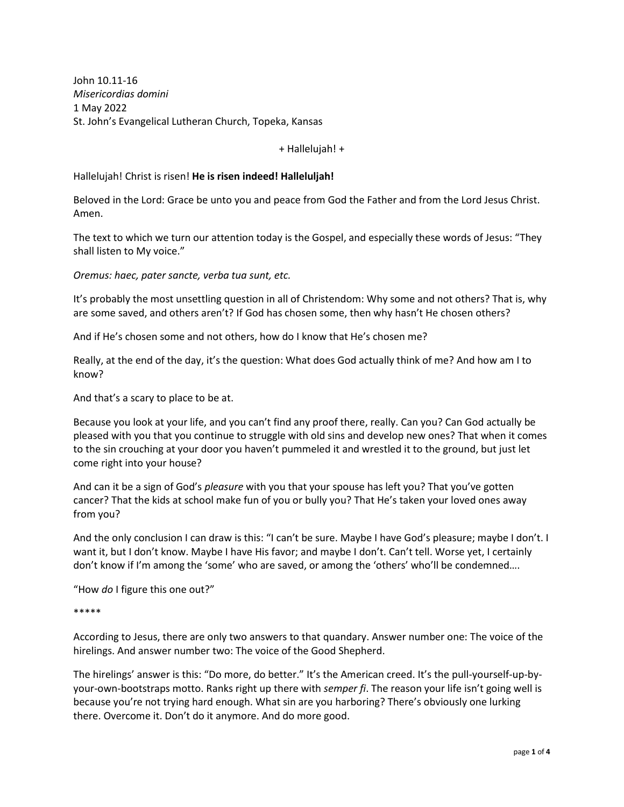John 10.11-16 *Misericordias domini* 1 May 2022 St. John's Evangelical Lutheran Church, Topeka, Kansas

+ Hallelujah! +

# Hallelujah! Christ is risen! **He is risen indeed! Halleluljah!**

Beloved in the Lord: Grace be unto you and peace from God the Father and from the Lord Jesus Christ. Amen.

The text to which we turn our attention today is the Gospel, and especially these words of Jesus: "They shall listen to My voice."

*Oremus: haec, pater sancte, verba tua sunt, etc.*

It's probably the most unsettling question in all of Christendom: Why some and not others? That is, why are some saved, and others aren't? If God has chosen some, then why hasn't He chosen others?

And if He's chosen some and not others, how do I know that He's chosen me?

Really, at the end of the day, it's the question: What does God actually think of me? And how am I to know?

And that's a scary to place to be at.

Because you look at your life, and you can't find any proof there, really. Can you? Can God actually be pleased with you that you continue to struggle with old sins and develop new ones? That when it comes to the sin crouching at your door you haven't pummeled it and wrestled it to the ground, but just let come right into your house?

And can it be a sign of God's *pleasure* with you that your spouse has left you? That you've gotten cancer? That the kids at school make fun of you or bully you? That He's taken your loved ones away from you?

And the only conclusion I can draw is this: "I can't be sure. Maybe I have God's pleasure; maybe I don't. I want it, but I don't know. Maybe I have His favor; and maybe I don't. Can't tell. Worse yet, I certainly don't know if I'm among the 'some' who are saved, or among the 'others' who'll be condemned….

"How *do* I figure this one out?"

\*\*\*\*\*

According to Jesus, there are only two answers to that quandary. Answer number one: The voice of the hirelings. And answer number two: The voice of the Good Shepherd.

The hirelings' answer is this: "Do more, do better." It's the American creed. It's the pull-yourself-up-byyour-own-bootstraps motto. Ranks right up there with *semper fi*. The reason your life isn't going well is because you're not trying hard enough. What sin are you harboring? There's obviously one lurking there. Overcome it. Don't do it anymore. And do more good.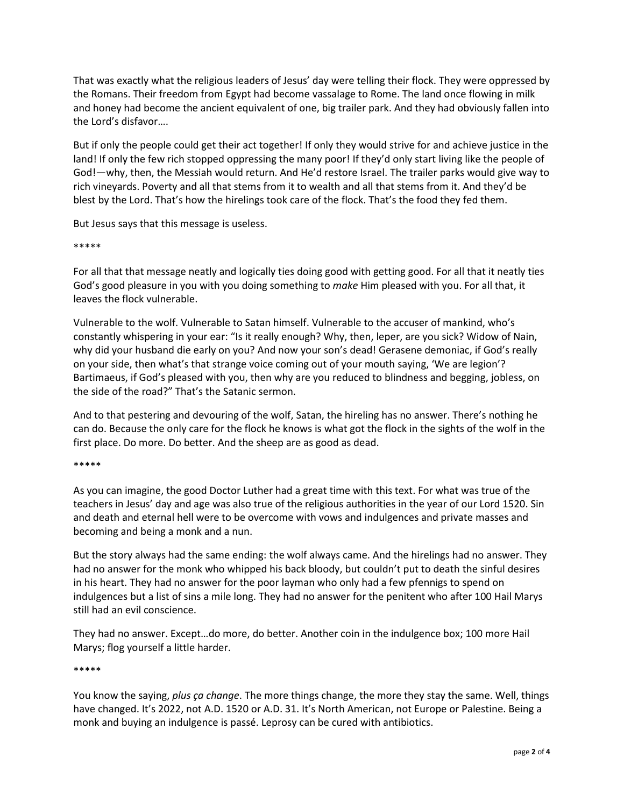That was exactly what the religious leaders of Jesus' day were telling their flock. They were oppressed by the Romans. Their freedom from Egypt had become vassalage to Rome. The land once flowing in milk and honey had become the ancient equivalent of one, big trailer park. And they had obviously fallen into the Lord's disfavor….

But if only the people could get their act together! If only they would strive for and achieve justice in the land! If only the few rich stopped oppressing the many poor! If they'd only start living like the people of God!—why, then, the Messiah would return. And He'd restore Israel. The trailer parks would give way to rich vineyards. Poverty and all that stems from it to wealth and all that stems from it. And they'd be blest by the Lord. That's how the hirelings took care of the flock. That's the food they fed them.

But Jesus says that this message is useless.

#### \*\*\*\*\*

For all that that message neatly and logically ties doing good with getting good. For all that it neatly ties God's good pleasure in you with you doing something to *make* Him pleased with you. For all that, it leaves the flock vulnerable.

Vulnerable to the wolf. Vulnerable to Satan himself. Vulnerable to the accuser of mankind, who's constantly whispering in your ear: "Is it really enough? Why, then, leper, are you sick? Widow of Nain, why did your husband die early on you? And now your son's dead! Gerasene demoniac, if God's really on your side, then what's that strange voice coming out of your mouth saying, 'We are legion'? Bartimaeus, if God's pleased with you, then why are you reduced to blindness and begging, jobless, on the side of the road?" That's the Satanic sermon.

And to that pestering and devouring of the wolf, Satan, the hireling has no answer. There's nothing he can do. Because the only care for the flock he knows is what got the flock in the sights of the wolf in the first place. Do more. Do better. And the sheep are as good as dead.

## \*\*\*\*\*

As you can imagine, the good Doctor Luther had a great time with this text. For what was true of the teachers in Jesus' day and age was also true of the religious authorities in the year of our Lord 1520. Sin and death and eternal hell were to be overcome with vows and indulgences and private masses and becoming and being a monk and a nun.

But the story always had the same ending: the wolf always came. And the hirelings had no answer. They had no answer for the monk who whipped his back bloody, but couldn't put to death the sinful desires in his heart. They had no answer for the poor layman who only had a few pfennigs to spend on indulgences but a list of sins a mile long. They had no answer for the penitent who after 100 Hail Marys still had an evil conscience.

They had no answer. Except…do more, do better. Another coin in the indulgence box; 100 more Hail Marys; flog yourself a little harder.

## \*\*\*\*\*

You know the saying, *plus ça change*. The more things change, the more they stay the same. Well, things have changed. It's 2022, not A.D. 1520 or A.D. 31. It's North American, not Europe or Palestine. Being a monk and buying an indulgence is passé. Leprosy can be cured with antibiotics.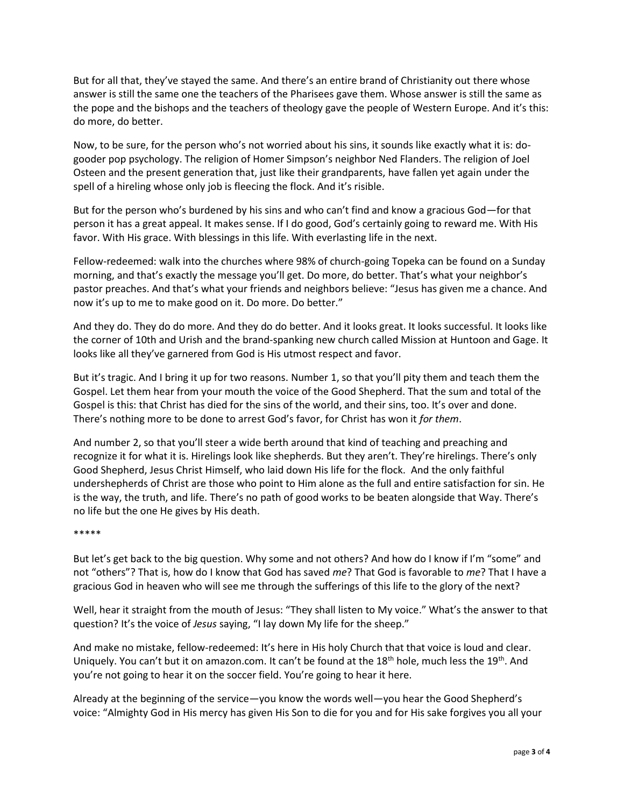But for all that, they've stayed the same. And there's an entire brand of Christianity out there whose answer is still the same one the teachers of the Pharisees gave them. Whose answer is still the same as the pope and the bishops and the teachers of theology gave the people of Western Europe. And it's this: do more, do better.

Now, to be sure, for the person who's not worried about his sins, it sounds like exactly what it is: dogooder pop psychology. The religion of Homer Simpson's neighbor Ned Flanders. The religion of Joel Osteen and the present generation that, just like their grandparents, have fallen yet again under the spell of a hireling whose only job is fleecing the flock. And it's risible.

But for the person who's burdened by his sins and who can't find and know a gracious God—for that person it has a great appeal. It makes sense. If I do good, God's certainly going to reward me. With His favor. With His grace. With blessings in this life. With everlasting life in the next.

Fellow-redeemed: walk into the churches where 98% of church-going Topeka can be found on a Sunday morning, and that's exactly the message you'll get. Do more, do better. That's what your neighbor's pastor preaches. And that's what your friends and neighbors believe: "Jesus has given me a chance. And now it's up to me to make good on it. Do more. Do better."

And they do. They do do more. And they do do better. And it looks great. It looks successful. It looks like the corner of 10th and Urish and the brand-spanking new church called Mission at Huntoon and Gage. It looks like all they've garnered from God is His utmost respect and favor.

But it's tragic. And I bring it up for two reasons. Number 1, so that you'll pity them and teach them the Gospel. Let them hear from your mouth the voice of the Good Shepherd. That the sum and total of the Gospel is this: that Christ has died for the sins of the world, and their sins, too. It's over and done. There's nothing more to be done to arrest God's favor, for Christ has won it *for them*.

And number 2, so that you'll steer a wide berth around that kind of teaching and preaching and recognize it for what it is. Hirelings look like shepherds. But they aren't. They're hirelings. There's only Good Shepherd, Jesus Christ Himself, who laid down His life for the flock. And the only faithful undershepherds of Christ are those who point to Him alone as the full and entire satisfaction for sin. He is the way, the truth, and life. There's no path of good works to be beaten alongside that Way. There's no life but the one He gives by His death.

#### \*\*\*\*\*

But let's get back to the big question. Why some and not others? And how do I know if I'm "some" and not "others"? That is, how do I know that God has saved *me*? That God is favorable to *me*? That I have a gracious God in heaven who will see me through the sufferings of this life to the glory of the next?

Well, hear it straight from the mouth of Jesus: "They shall listen to My voice." What's the answer to that question? It's the voice of *Jesus* saying, "I lay down My life for the sheep."

And make no mistake, fellow-redeemed: It's here in His holy Church that that voice is loud and clear. Uniquely. You can't but it on amazon.com. It can't be found at the  $18<sup>th</sup>$  hole, much less the  $19<sup>th</sup>$ . And you're not going to hear it on the soccer field. You're going to hear it here.

Already at the beginning of the service—you know the words well—you hear the Good Shepherd's voice: "Almighty God in His mercy has given His Son to die for you and for His sake forgives you all your